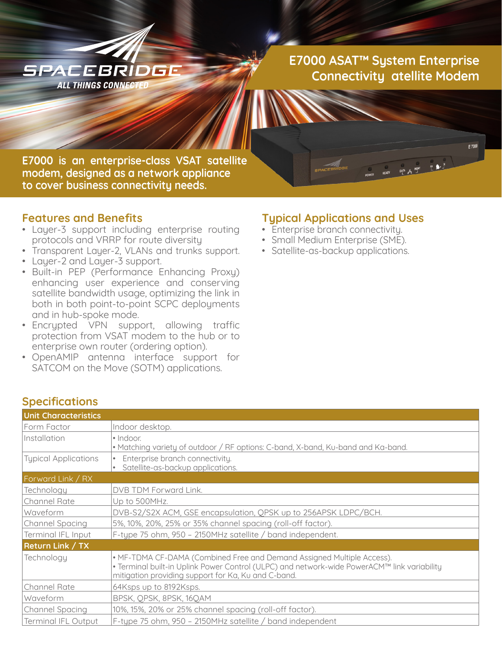

**E7000 ASAT™ System Enterprise Connectivity atellite Modem**

 $\begin{array}{ccccccccccccc}\n\mathbf{0} & \mathbf{A} & \mathbf{A} & \mathbf{A} & \mathbf{A} & \mathbf{A} & \mathbf{A} & \mathbf{A} & \mathbf{A} & \mathbf{A} & \mathbf{A} & \mathbf{A} & \mathbf{A} & \mathbf{A} & \mathbf{A} & \mathbf{A} & \mathbf{A} & \mathbf{A} & \mathbf{A} & \mathbf{A} & \mathbf{A} & \mathbf{A} & \mathbf{A} & \mathbf{A} & \mathbf{A} & \mathbf{A} & \mathbf{A} & \mathbf{A} & \mathbf{A} & \mathbf{A}$ 

E 7000

**E7000 is an enterprise-class VSAT satellite modem, designed as a network appliance to cover business connectivity needs.**

#### **Features and Benefits**

- Layer-3 support including enterprise routing protocols and VRRP for route diversity
- Transparent Layer-2, VLANs and trunks support.
- Layer-2 and Layer-3 support.
- Built-in PEP (Performance Enhancing Proxy) enhancing user experience and conserving satellite bandwidth usage, optimizing the link in both in both point-to-point SCPC deployments and in hub-spoke mode.
- Encrypted VPN support, allowing traffic protection from VSAT modem to the hub or to enterprise own router (ordering option).
- OpenAMIP antenna interface support for SATCOM on the Move (SOTM) applications.

### **Typical Applications and Uses**

- Enterprise branch connectivity.
- Small Medium Enterprise (SME).
- Satellite-as-backup applications.

| <b>Specifications</b>       |                                                                                                                                                                                                                              |  |
|-----------------------------|------------------------------------------------------------------------------------------------------------------------------------------------------------------------------------------------------------------------------|--|
| <b>Unit Characteristics</b> |                                                                                                                                                                                                                              |  |
| Form Factor                 | Indoor desktop.                                                                                                                                                                                                              |  |
| Installation                | · Indoor.<br>• Matching variety of outdoor / RF options: C-band, X-band, Ku-band and Ka-band.                                                                                                                                |  |
| <b>Typical Applications</b> | Enterprise branch connectivity.<br>Satellite-as-backup applications.                                                                                                                                                         |  |
| Forward Link / RX           |                                                                                                                                                                                                                              |  |
| Technology                  | DVB TDM Forward Link.                                                                                                                                                                                                        |  |
| Channel Rate                | Up to 500MHz.                                                                                                                                                                                                                |  |
| Waveform                    | DVB-S2/S2X ACM, GSE encapsulation, QPSK up to 256APSK LDPC/BCH.                                                                                                                                                              |  |
| <b>Channel Spacing</b>      | 5%, 10%, 20%, 25% or 35% channel spacing (roll-off factor).                                                                                                                                                                  |  |
| Terminal IFL Input          | F-type 75 ohm, 950 - 2150MHz satellite / band independent.                                                                                                                                                                   |  |
| Return Link / TX            |                                                                                                                                                                                                                              |  |
| Technology                  | • MF-TDMA CF-DAMA (Combined Free and Demand Assigned Multiple Access).<br>. Terminal built-in Uplink Power Control (ULPC) and network-wide PowerACM™ link variability<br>mitigation providing support for Ka, Ku and C-band. |  |
| <b>Channel Rate</b>         | 64Ksps up to 8192Ksps.                                                                                                                                                                                                       |  |
| Waveform                    | BPSK, QPSK, 8PSK, 16QAM                                                                                                                                                                                                      |  |
| <b>Channel Spacing</b>      | 10%, 15%, 20% or 25% channel spacing (roll-off factor).                                                                                                                                                                      |  |
| <b>Terminal IFL Output</b>  | F-type 75 ohm, 950 - 2150MHz satellite / band independent                                                                                                                                                                    |  |

## **Specifications**